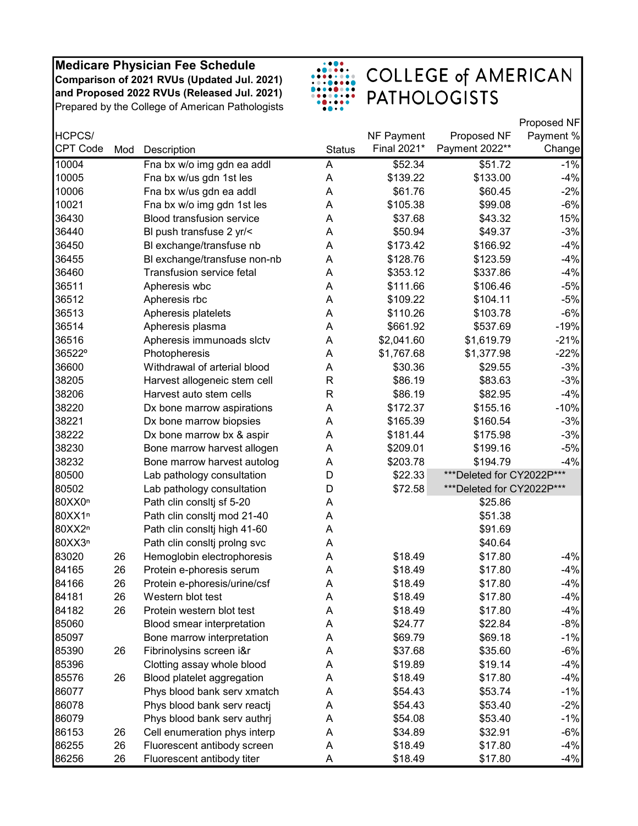

|                    |     |                                  |               |             |                            | Proposed NF |
|--------------------|-----|----------------------------------|---------------|-------------|----------------------------|-------------|
| HCPCS/             |     |                                  |               | NF Payment  | Proposed NF                | Payment %   |
| <b>CPT Code</b>    | Mod | Description                      | <b>Status</b> | Final 2021* | Payment 2022**             | Change      |
| 10004              |     | Fna bx w/o img gdn ea addl       | A             | \$52.34     | \$51.72                    | $-1%$       |
| 10005              |     | Fna bx w/us gdn 1st les          | A             | \$139.22    | \$133.00                   | $-4%$       |
| 10006              |     | Fna bx w/us gdn ea addl          | A             | \$61.76     | \$60.45                    | $-2%$       |
| 10021              |     | Fna bx w/o img gdn 1st les       | A             | \$105.38    | \$99.08                    | $-6%$       |
| 36430              |     | <b>Blood transfusion service</b> | A             | \$37.68     | \$43.32                    | 15%         |
| 36440              |     | BI push transfuse 2 yr/<         | A             | \$50.94     | \$49.37                    | $-3%$       |
| 36450              |     | BI exchange/transfuse nb         | A             | \$173.42    | \$166.92                   | $-4%$       |
| 36455              |     | BI exchange/transfuse non-nb     | A             | \$128.76    | \$123.59                   | $-4%$       |
| 36460              |     | Transfusion service fetal        | A             | \$353.12    | \$337.86                   | $-4%$       |
| 36511              |     | Apheresis wbc                    | A             | \$111.66    | \$106.46                   | $-5%$       |
| 36512              |     | Apheresis rbc                    | A             | \$109.22    | \$104.11                   | $-5%$       |
| 36513              |     | Apheresis platelets              | Α             | \$110.26    | \$103.78                   | $-6%$       |
| 36514              |     | Apheresis plasma                 | A             | \$661.92    | \$537.69                   | $-19%$      |
| 36516              |     | Apheresis immunoads slctv        | A             | \$2,041.60  | \$1,619.79                 | $-21%$      |
| 36522°             |     | Photopheresis                    | A             | \$1,767.68  | \$1,377.98                 | $-22%$      |
| 36600              |     | Withdrawal of arterial blood     | A             | \$30.36     | \$29.55                    | $-3%$       |
| 38205              |     | Harvest allogeneic stem cell     | R             | \$86.19     | \$83.63                    | $-3%$       |
| 38206              |     | Harvest auto stem cells          | R             | \$86.19     | \$82.95                    | $-4%$       |
| 38220              |     | Dx bone marrow aspirations       | A             | \$172.37    | \$155.16                   | $-10%$      |
| 38221              |     | Dx bone marrow biopsies          | A             | \$165.39    | \$160.54                   | $-3%$       |
| 38222              |     | Dx bone marrow bx & aspir        | A             | \$181.44    | \$175.98                   | $-3%$       |
| 38230              |     | Bone marrow harvest allogen      | A             | \$209.01    | \$199.16                   | $-5%$       |
| 38232              |     | Bone marrow harvest autolog      | Α             | \$203.78    | \$194.79                   | $-4%$       |
| 80500              |     | Lab pathology consultation       | D             | \$22.33     | ***Deleted for CY2022P***  |             |
| 80502              |     | Lab pathology consultation       | D             | \$72.58     | *** Deleted for CY2022P*** |             |
| 80XX0 <sup>n</sup> |     | Path clin consitj sf 5-20        | A             |             | \$25.86                    |             |
| 80XX1n             |     | Path clin consitj mod 21-40      | A             |             | \$51.38                    |             |
| 80XX2n             |     | Path clin consitj high 41-60     | A             |             | \$91.69                    |             |
| 80XX3n             |     | Path clin consitj proing svc     | Α             |             | \$40.64                    |             |
| 83020              | 26  | Hemoglobin electrophoresis       | A             | \$18.49     | \$17.80                    | $-4%$       |
| 84165              | 26  | Protein e-phoresis serum         | A             | \$18.49     | \$17.80                    | $-4%$       |
| 84166              | 26  | Protein e-phoresis/urine/csf     | A             | \$18.49     | \$17.80                    | $-4%$       |
| 84181              | 26  | Western blot test                | A             | \$18.49     | \$17.80                    | $-4%$       |
| 84182              | 26  | Protein western blot test        | Α             | \$18.49     | \$17.80                    | $-4%$       |
| 85060              |     | Blood smear interpretation       | Α             | \$24.77     | \$22.84                    | $-8%$       |
| 85097              |     | Bone marrow interpretation       | A             | \$69.79     | \$69.18                    | $-1%$       |
| 85390              | 26  | Fibrinolysins screen i&r         | A             | \$37.68     | \$35.60                    | $-6%$       |
| 85396              |     | Clotting assay whole blood       | A             | \$19.89     | \$19.14                    | $-4%$       |
| 85576              | 26  | Blood platelet aggregation       | Α             | \$18.49     | \$17.80                    | $-4%$       |
| 86077              |     | Phys blood bank serv xmatch      | Α             | \$54.43     | \$53.74                    | $-1%$       |
| 86078              |     | Phys blood bank serv reactj      | A             | \$54.43     | \$53.40                    | $-2%$       |
| 86079              |     | Phys blood bank serv authrj      | Α             | \$54.08     | \$53.40                    | $-1%$       |
| 86153              | 26  | Cell enumeration phys interp     | Α             | \$34.89     | \$32.91                    | $-6%$       |
| 86255              | 26  | Fluorescent antibody screen      | Α             | \$18.49     | \$17.80                    | $-4%$       |
| 86256              | 26  | Fluorescent antibody titer       | A             | \$18.49     | \$17.80                    | $-4%$       |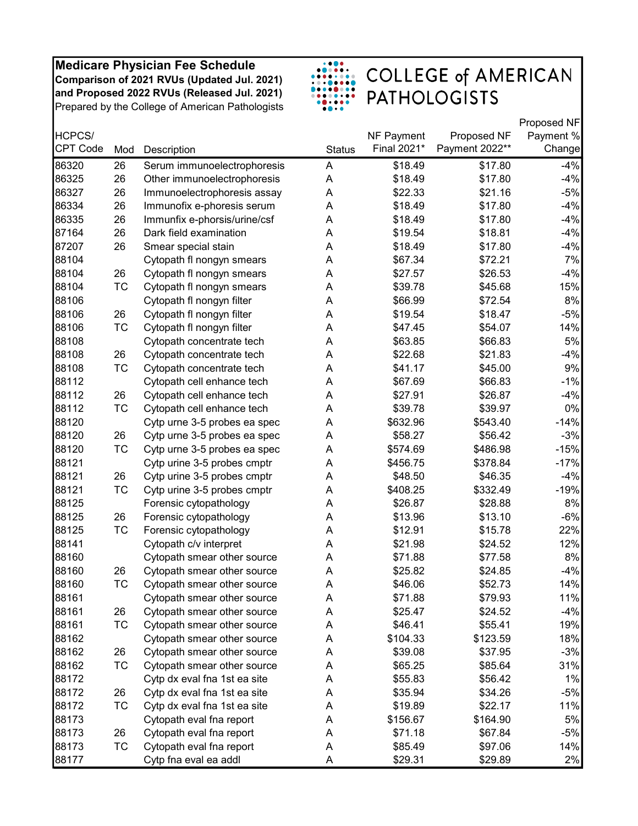

|                 |           |                              |               |             |                | Proposed NF |
|-----------------|-----------|------------------------------|---------------|-------------|----------------|-------------|
| HCPCS/          |           |                              |               | NF Payment  | Proposed NF    | Payment %   |
| <b>CPT Code</b> | Mod       | Description                  | <b>Status</b> | Final 2021* | Payment 2022** | Change      |
| 86320           | 26        | Serum immunoelectrophoresis  | A             | \$18.49     | \$17.80        | $-4%$       |
| 86325           | 26        | Other immunoelectrophoresis  | A             | \$18.49     | \$17.80        | $-4%$       |
| 86327           | 26        | Immunoelectrophoresis assay  | Α             | \$22.33     | \$21.16        | $-5%$       |
| 86334           | 26        | Immunofix e-phoresis serum   | Α             | \$18.49     | \$17.80        | $-4%$       |
| 86335           | 26        | Immunfix e-phorsis/urine/csf | Α             | \$18.49     | \$17.80        | $-4%$       |
| 87164           | 26        | Dark field examination       | A             | \$19.54     | \$18.81        | $-4%$       |
| 87207           | 26        | Smear special stain          | A             | \$18.49     | \$17.80        | $-4%$       |
| 88104           |           | Cytopath fl nongyn smears    | Α             | \$67.34     | \$72.21        | 7%          |
| 88104           | 26        | Cytopath fl nongyn smears    | Α             | \$27.57     | \$26.53        | $-4%$       |
| 88104           | ТC        | Cytopath fl nongyn smears    | A             | \$39.78     | \$45.68        | 15%         |
| 88106           |           | Cytopath fl nongyn filter    | Α             | \$66.99     | \$72.54        | 8%          |
| 88106           | 26        | Cytopath fl nongyn filter    | A             | \$19.54     | \$18.47        | $-5%$       |
| 88106           | TC        | Cytopath fl nongyn filter    | Α             | \$47.45     | \$54.07        | 14%         |
| 88108           |           | Cytopath concentrate tech    | Α             | \$63.85     | \$66.83        | 5%          |
| 88108           | 26        | Cytopath concentrate tech    | A             | \$22.68     | \$21.83        | $-4%$       |
| 88108           | <b>TC</b> | Cytopath concentrate tech    | A             | \$41.17     | \$45.00        | 9%          |
| 88112           |           | Cytopath cell enhance tech   | Α             | \$67.69     | \$66.83        | $-1%$       |
| 88112           | 26        | Cytopath cell enhance tech   | Α             | \$27.91     | \$26.87        | $-4%$       |
| 88112           | <b>TC</b> | Cytopath cell enhance tech   | Α             | \$39.78     | \$39.97        | 0%          |
| 88120           |           | Cytp urne 3-5 probes ea spec | A             | \$632.96    | \$543.40       | $-14%$      |
| 88120           | 26        | Cytp urne 3-5 probes ea spec | A             | \$58.27     | \$56.42        | $-3%$       |
| 88120           | TC        | Cytp urne 3-5 probes ea spec | Α             | \$574.69    | \$486.98       | $-15%$      |
| 88121           |           | Cytp urine 3-5 probes cmptr  | Α             | \$456.75    | \$378.84       | $-17%$      |
| 88121           | 26        | Cytp urine 3-5 probes cmptr  | Α             | \$48.50     | \$46.35        | $-4%$       |
| 88121           | <b>TC</b> | Cytp urine 3-5 probes cmptr  | Α             | \$408.25    | \$332.49       | $-19%$      |
| 88125           |           | Forensic cytopathology       | A             | \$26.87     | \$28.88        | 8%          |
| 88125           | 26        | Forensic cytopathology       | A             | \$13.96     | \$13.10        | $-6%$       |
| 88125           | ТC        | Forensic cytopathology       | Α             | \$12.91     | \$15.78        | 22%         |
| 88141           |           | Cytopath c/v interpret       | Α             | \$21.98     | \$24.52        | 12%         |
| 88160           |           | Cytopath smear other source  | Α             | \$71.88     | \$77.58        | 8%          |
| 88160           | 26        | Cytopath smear other source  | А             | \$25.82     | \$24.85        | $-4%$       |
| 88160           | TC        | Cytopath smear other source  | A             | \$46.06     | \$52.73        | 14%         |
| 88161           |           | Cytopath smear other source  | A             | \$71.88     | \$79.93        | 11%         |
| 88161           | 26        | Cytopath smear other source  | Α             | \$25.47     | \$24.52        | $-4%$       |
| 88161           | ТC        | Cytopath smear other source  | Α             | \$46.41     | \$55.41        | 19%         |
| 88162           |           | Cytopath smear other source  | Α             | \$104.33    | \$123.59       | 18%         |
| 88162           | 26        | Cytopath smear other source  | Α             | \$39.08     | \$37.95        | $-3%$       |
| 88162           | ТC        | Cytopath smear other source  | Α             | \$65.25     | \$85.64        | 31%         |
| 88172           |           | Cytp dx eval fna 1st ea site | Α             | \$55.83     | \$56.42        | 1%          |
| 88172           | 26        | Cytp dx eval fna 1st ea site | Α             | \$35.94     | \$34.26        | $-5%$       |
| 88172           | ТC        | Cytp dx eval fna 1st ea site | Α             | \$19.89     | \$22.17        | 11%         |
| 88173           |           | Cytopath eval fna report     | A             | \$156.67    | \$164.90       | 5%          |
| 88173           | 26        | Cytopath eval fna report     | A             | \$71.18     | \$67.84        | $-5%$       |
| 88173           | ТC        | Cytopath eval fna report     | Α             | \$85.49     | \$97.06        | 14%         |
| 88177           |           | Cytp fna eval ea addl        | A             | \$29.31     | \$29.89        | 2%          |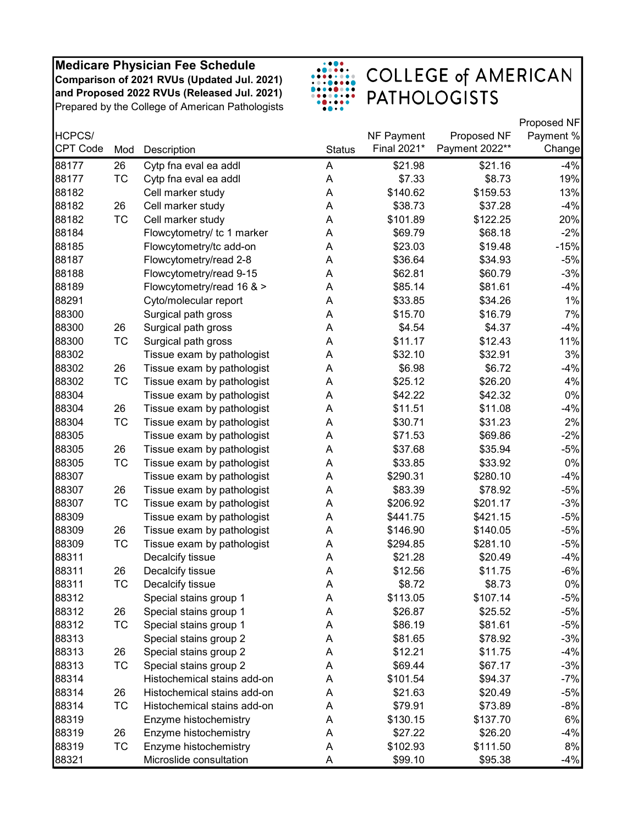

|                 |           |                             |               |             |                | Proposed NF |
|-----------------|-----------|-----------------------------|---------------|-------------|----------------|-------------|
| HCPCS/          |           |                             |               | NF Payment  | Proposed NF    | Payment %   |
| <b>CPT Code</b> | Mod       | Description                 | <b>Status</b> | Final 2021* | Payment 2022** | Change      |
| 88177           | 26        | Cytp fna eval ea addl       | A             | \$21.98     | \$21.16        | $-4%$       |
| 88177           | <b>TC</b> | Cytp fna eval ea addl       | Α             | \$7.33      | \$8.73         | 19%         |
| 88182           |           | Cell marker study           | Α             | \$140.62    | \$159.53       | 13%         |
| 88182           | 26        | Cell marker study           | A             | \$38.73     | \$37.28        | $-4%$       |
| 88182           | <b>TC</b> | Cell marker study           | A             | \$101.89    | \$122.25       | 20%         |
| 88184           |           | Flowcytometry/ tc 1 marker  | A             | \$69.79     | \$68.18        | $-2%$       |
| 88185           |           | Flowcytometry/tc add-on     | A             | \$23.03     | \$19.48        | $-15%$      |
| 88187           |           | Flowcytometry/read 2-8      | Α             | \$36.64     | \$34.93        | $-5%$       |
| 88188           |           | Flowcytometry/read 9-15     | A             | \$62.81     | \$60.79        | $-3%$       |
| 88189           |           | Flowcytometry/read 16 & >   | A             | \$85.14     | \$81.61        | $-4%$       |
| 88291           |           | Cyto/molecular report       | A             | \$33.85     | \$34.26        | $1\%$       |
| 88300           |           | Surgical path gross         | A             | \$15.70     | \$16.79        | 7%          |
| 88300           | 26        | Surgical path gross         | A             | \$4.54      | \$4.37         | $-4%$       |
| 88300           | <b>TC</b> | Surgical path gross         | A             | \$11.17     | \$12.43        | 11%         |
| 88302           |           | Tissue exam by pathologist  | Α             | \$32.10     | \$32.91        | 3%          |
| 88302           | 26        | Tissue exam by pathologist  | A             | \$6.98      | \$6.72         | $-4%$       |
| 88302           | <b>TC</b> | Tissue exam by pathologist  | A             | \$25.12     | \$26.20        | 4%          |
| 88304           |           | Tissue exam by pathologist  | A             | \$42.22     | \$42.32        | $0\%$       |
| 88304           | 26        | Tissue exam by pathologist  | A             | \$11.51     | \$11.08        | $-4%$       |
| 88304           | <b>TC</b> | Tissue exam by pathologist  | A             | \$30.71     | \$31.23        | 2%          |
| 88305           |           | Tissue exam by pathologist  | Α             | \$71.53     | \$69.86        | $-2%$       |
| 88305           | 26        | Tissue exam by pathologist  | Α             | \$37.68     | \$35.94        | $-5%$       |
| 88305           | TC        | Tissue exam by pathologist  | A             | \$33.85     | \$33.92        | $0\%$       |
| 88307           |           | Tissue exam by pathologist  | A             | \$290.31    | \$280.10       | $-4%$       |
| 88307           | 26        | Tissue exam by pathologist  | A             | \$83.39     | \$78.92        | $-5%$       |
| 88307           | <b>TC</b> | Tissue exam by pathologist  | A             | \$206.92    | \$201.17       | $-3%$       |
| 88309           |           | Tissue exam by pathologist  | Α             | \$441.75    | \$421.15       | $-5%$       |
| 88309           | 26        | Tissue exam by pathologist  | A             | \$146.90    | \$140.05       | $-5%$       |
| 88309           | TC        | Tissue exam by pathologist  | A             | \$294.85    | \$281.10       | $-5%$       |
| 88311           |           | Decalcify tissue            | A             | \$21.28     | \$20.49        | $-4%$       |
| 88311           | 26        | Decalcify tissue            | A             | \$12.56     | \$11.75        | $-6%$       |
| 88311           | ТC        | Decalcify tissue            | Α             | \$8.72      | \$8.73         | 0%          |
| 88312           |           | Special stains group 1      | A             | \$113.05    | \$107.14       | $-5%$       |
| 88312           | 26        | Special stains group 1      | Α             | \$26.87     | \$25.52        | $-5%$       |
| 88312           | ТC        | Special stains group 1      | А             | \$86.19     | \$81.61        | $-5%$       |
| 88313           |           | Special stains group 2      | Α             | \$81.65     | \$78.92        | $-3%$       |
| 88313           | 26        | Special stains group 2      | A             | \$12.21     | \$11.75        | $-4%$       |
| 88313           | TC        | Special stains group 2      | А             | \$69.44     | \$67.17        | $-3%$       |
| 88314           |           | Histochemical stains add-on | Α             | \$101.54    | \$94.37        | $-7%$       |
| 88314           | 26        | Histochemical stains add-on | А             | \$21.63     | \$20.49        | $-5%$       |
| 88314           | ТC        | Histochemical stains add-on | Α             | \$79.91     | \$73.89        | $-8%$       |
| 88319           |           | Enzyme histochemistry       | A             | \$130.15    | \$137.70       | 6%          |
| 88319           | 26        | Enzyme histochemistry       | A             | \$27.22     | \$26.20        | $-4%$       |
| 88319           | TC        | Enzyme histochemistry       | A             | \$102.93    | \$111.50       | 8%          |
| 88321           |           | Microslide consultation     | A             | \$99.10     | \$95.38        | $-4%$       |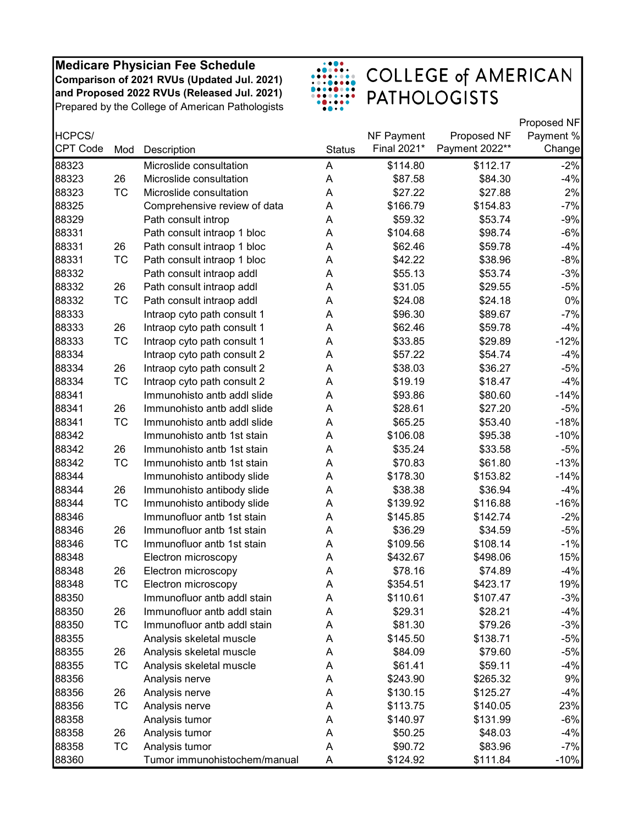

|                 |           |                              |               |             |                | Proposed NF |
|-----------------|-----------|------------------------------|---------------|-------------|----------------|-------------|
| HCPCS/          |           |                              |               | NF Payment  | Proposed NF    | Payment %   |
| <b>CPT Code</b> | Mod       | Description                  | <b>Status</b> | Final 2021* | Payment 2022** | Change      |
| 88323           |           | Microslide consultation      | A             | \$114.80    | \$112.17       | $-2%$       |
| 88323           | 26        | Microslide consultation      | A             | \$87.58     | \$84.30        | $-4%$       |
| 88323           | <b>TC</b> | Microslide consultation      | Α             | \$27.22     | \$27.88        | 2%          |
| 88325           |           | Comprehensive review of data | A             | \$166.79    | \$154.83       | $-7%$       |
| 88329           |           | Path consult introp          | A             | \$59.32     | \$53.74        | $-9%$       |
| 88331           |           | Path consult intraop 1 bloc  | A             | \$104.68    | \$98.74        | $-6%$       |
| 88331           | 26        | Path consult intraop 1 bloc  | A             | \$62.46     | \$59.78        | $-4%$       |
| 88331           | <b>TC</b> | Path consult intraop 1 bloc  | A             | \$42.22     | \$38.96        | $-8%$       |
| 88332           |           | Path consult intraop addl    | A             | \$55.13     | \$53.74        | $-3%$       |
| 88332           | 26        | Path consult intraop addl    | A             | \$31.05     | \$29.55        | $-5%$       |
| 88332           | TC        | Path consult intraop addl    | A             | \$24.08     | \$24.18        | 0%          |
| 88333           |           | Intraop cyto path consult 1  | A             | \$96.30     | \$89.67        | $-7%$       |
| 88333           | 26        | Intraop cyto path consult 1  | A             | \$62.46     | \$59.78        | $-4%$       |
| 88333           | <b>TC</b> | Intraop cyto path consult 1  | A             | \$33.85     | \$29.89        | $-12%$      |
| 88334           |           | Intraop cyto path consult 2  | A             | \$57.22     | \$54.74        | $-4%$       |
| 88334           | 26        | Intraop cyto path consult 2  | A             | \$38.03     | \$36.27        | $-5%$       |
| 88334           | <b>TC</b> | Intraop cyto path consult 2  | A             | \$19.19     | \$18.47        | $-4%$       |
| 88341           |           | Immunohisto antb addl slide  | A             | \$93.86     | \$80.60        | $-14%$      |
| 88341           | 26        | Immunohisto antb addl slide  | A             | \$28.61     | \$27.20        | $-5%$       |
| 88341           | <b>TC</b> | Immunohisto antb addl slide  | A             | \$65.25     | \$53.40        | $-18%$      |
| 88342           |           | Immunohisto antb 1st stain   | A             | \$106.08    | \$95.38        | $-10%$      |
| 88342           | 26        | Immunohisto antb 1st stain   | A             | \$35.24     | \$33.58        | $-5%$       |
| 88342           | TC        | Immunohisto antb 1st stain   | A             | \$70.83     | \$61.80        | $-13%$      |
| 88344           |           | Immunohisto antibody slide   | A             | \$178.30    | \$153.82       | $-14%$      |
| 88344           | 26        | Immunohisto antibody slide   | A             | \$38.38     | \$36.94        | $-4%$       |
| 88344           | <b>TC</b> | Immunohisto antibody slide   | A             | \$139.92    | \$116.88       | $-16%$      |
| 88346           |           | Immunofluor antb 1st stain   | A             | \$145.85    | \$142.74       | $-2%$       |
| 88346           | 26        | Immunofluor antb 1st stain   | A             | \$36.29     | \$34.59        | $-5%$       |
| 88346           | TC        | Immunofluor antb 1st stain   | A             | \$109.56    | \$108.14       | $-1%$       |
| 88348           |           | Electron microscopy          | A             | \$432.67    | \$498.06       | 15%         |
| 88348           | 26        | Electron microscopy          | A             | \$78.16     | \$74.89        | $-4%$       |
| 88348           | <b>TC</b> | Electron microscopy          | A             | \$354.51    | \$423.17       | 19%         |
| 88350           |           | Immunofluor antb addl stain  | Α             | \$110.61    | \$107.47       | $-3%$       |
| 88350           | 26        | Immunofluor antb addl stain  | Α             | \$29.31     | \$28.21        | $-4%$       |
| 88350           | <b>TC</b> | Immunofluor antb addl stain  | Α             | \$81.30     | \$79.26        | $-3%$       |
| 88355           |           | Analysis skeletal muscle     | Α             | \$145.50    | \$138.71       | $-5%$       |
| 88355           | 26        | Analysis skeletal muscle     | A             | \$84.09     | \$79.60        | $-5%$       |
| 88355           | TC        | Analysis skeletal muscle     | Α             | \$61.41     | \$59.11        | $-4%$       |
| 88356           |           | Analysis nerve               | Α             | \$243.90    | \$265.32       | 9%          |
| 88356           | 26        | Analysis nerve               | Α             | \$130.15    | \$125.27       | $-4%$       |
| 88356           | TC        | Analysis nerve               | A             | \$113.75    | \$140.05       | 23%         |
| 88358           |           | Analysis tumor               | A             | \$140.97    | \$131.99       | $-6%$       |
| 88358           | 26        | Analysis tumor               | A             | \$50.25     | \$48.03        | $-4%$       |
| 88358           | TC        | Analysis tumor               | Α             | \$90.72     | \$83.96        | $-7%$       |
| 88360           |           | Tumor immunohistochem/manual | A             | \$124.92    | \$111.84       | $-10%$      |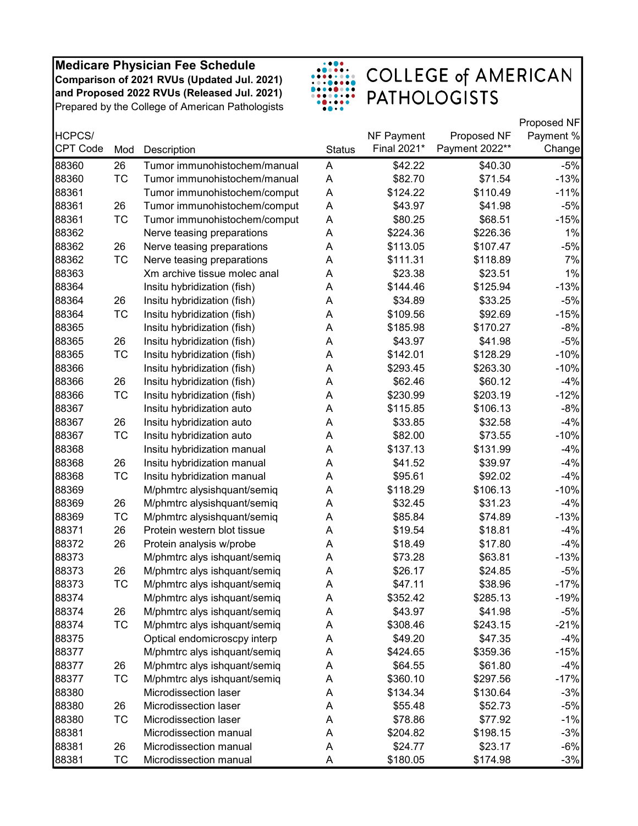

|                 |           |                              |               |             |                | Proposed NF |
|-----------------|-----------|------------------------------|---------------|-------------|----------------|-------------|
| HCPCS/          |           |                              |               | NF Payment  | Proposed NF    | Payment %   |
| <b>CPT Code</b> | Mod       | Description                  | <b>Status</b> | Final 2021* | Payment 2022** | Change      |
| 88360           | 26        | Tumor immunohistochem/manual | A             | \$42.22     | \$40.30        | $-5%$       |
| 88360           | <b>TC</b> | Tumor immunohistochem/manual | Α             | \$82.70     | \$71.54        | $-13%$      |
| 88361           |           | Tumor immunohistochem/comput | A             | \$124.22    | \$110.49       | $-11%$      |
| 88361           | 26        | Tumor immunohistochem/comput | А             | \$43.97     | \$41.98        | $-5%$       |
| 88361           | <b>TC</b> | Tumor immunohistochem/comput | А             | \$80.25     | \$68.51        | $-15%$      |
| 88362           |           | Nerve teasing preparations   | A             | \$224.36    | \$226.36       | 1%          |
| 88362           | 26        | Nerve teasing preparations   | A             | \$113.05    | \$107.47       | $-5%$       |
| 88362           | <b>TC</b> | Nerve teasing preparations   | Α             | \$111.31    | \$118.89       | 7%          |
| 88363           |           | Xm archive tissue molec anal | Α             | \$23.38     | \$23.51        | 1%          |
| 88364           |           | Insitu hybridization (fish)  | Α             | \$144.46    | \$125.94       | $-13%$      |
| 88364           | 26        | Insitu hybridization (fish)  | А             | \$34.89     | \$33.25        | $-5%$       |
| 88364           | TC        | Insitu hybridization (fish)  | А             | \$109.56    | \$92.69        | $-15%$      |
| 88365           |           | Insitu hybridization (fish)  | A             | \$185.98    | \$170.27       | $-8%$       |
| 88365           | 26        | Insitu hybridization (fish)  | Α             | \$43.97     | \$41.98        | $-5%$       |
| 88365           | <b>TC</b> | Insitu hybridization (fish)  | A             | \$142.01    | \$128.29       | $-10%$      |
| 88366           |           | Insitu hybridization (fish)  | Α             | \$293.45    | \$263.30       | $-10%$      |
| 88366           | 26        | Insitu hybridization (fish)  | А             | \$62.46     | \$60.12        | $-4%$       |
| 88366           | <b>TC</b> | Insitu hybridization (fish)  | A             | \$230.99    | \$203.19       | $-12%$      |
| 88367           |           | Insitu hybridization auto    | Α             | \$115.85    | \$106.13       | -8%         |
| 88367           | 26        | Insitu hybridization auto    | A             | \$33.85     | \$32.58        | $-4%$       |
| 88367           | <b>TC</b> | Insitu hybridization auto    | A             | \$82.00     | \$73.55        | $-10%$      |
| 88368           |           | Insitu hybridization manual  | Α             | \$137.13    | \$131.99       | $-4%$       |
| 88368           | 26        | Insitu hybridization manual  | A             | \$41.52     | \$39.97        | $-4%$       |
| 88368           | <b>TC</b> | Insitu hybridization manual  | A             | \$95.61     | \$92.02        | $-4%$       |
| 88369           |           | M/phmtrc alysishquant/semiq  | Α             | \$118.29    | \$106.13       | $-10%$      |
| 88369           | 26        | M/phmtrc alysishquant/semiq  | Α             | \$32.45     | \$31.23        | $-4%$       |
| 88369           | <b>TC</b> | M/phmtrc alysishquant/semiq  | A             | \$85.84     | \$74.89        | $-13%$      |
| 88371           | 26        | Protein western blot tissue  | Α             | \$19.54     | \$18.81        | $-4%$       |
| 88372           | 26        | Protein analysis w/probe     | А             | \$18.49     | \$17.80        | $-4%$       |
| 88373           |           | M/phmtrc alys ishquant/semiq | Α             | \$73.28     | \$63.81        | $-13%$      |
| 88373           | 26        | M/phmtrc alys ishquant/semiq | Α             | \$26.17     | \$24.85        | $-5%$       |
| 88373           | ТC        | M/phmtrc alys ishquant/semiq | Α             | \$47.11     | \$38.96        | $-17%$      |
| 88374           |           | M/phmtrc alys ishquant/semiq | A             | \$352.42    | \$285.13       | $-19%$      |
| 88374           | 26        | M/phmtrc alys ishquant/semiq | А             | \$43.97     | \$41.98        | $-5%$       |
| 88374           | ТC        | M/phmtrc alys ishquant/semiq | Α             | \$308.46    | \$243.15       | $-21%$      |
| 88375           |           | Optical endomicroscpy interp | Α             | \$49.20     | \$47.35        | $-4%$       |
| 88377           |           | M/phmtrc alys ishquant/semiq | А             | \$424.65    | \$359.36       | $-15%$      |
| 88377           | 26        | M/phmtrc alys ishquant/semiq | А             | \$64.55     | \$61.80        | $-4%$       |
| 88377           | TC        | M/phmtrc alys ishquant/semiq | Α             | \$360.10    | \$297.56       | $-17%$      |
| 88380           |           | Microdissection laser        | Α             | \$134.34    | \$130.64       | $-3%$       |
| 88380           | 26        | Microdissection laser        | А             | \$55.48     | \$52.73        | $-5%$       |
| 88380           | ТC        | Microdissection laser        | A             | \$78.86     | \$77.92        | $-1%$       |
| 88381           |           | Microdissection manual       | A             | \$204.82    | \$198.15       | $-3%$       |
| 88381           | 26        | Microdissection manual       | Α             | \$24.77     | \$23.17        | $-6%$       |
| 88381           | ТC        | Microdissection manual       | A             | \$180.05    | \$174.98       | $-3%$       |